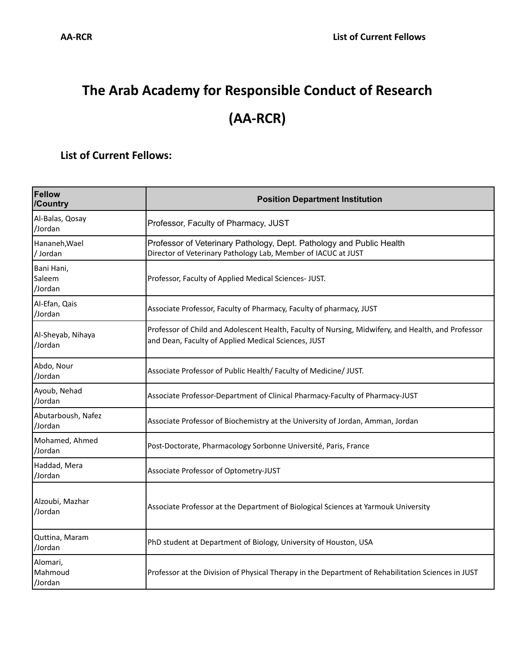## **The Arab Academy for Responsible Conduct of Research (AA-RCR)**

## **List of Current Fellows:**

| Fellow<br>/Country              | <b>Position Department Institution</b>                                                                                                                    |
|---------------------------------|-----------------------------------------------------------------------------------------------------------------------------------------------------------|
| Al-Balas, Qosay<br>/Jordan      | Professor, Faculty of Pharmacy, JUST                                                                                                                      |
| Hananeh, Wael<br>/Jordan        | Professor of Veterinary Pathology, Dept. Pathology and Public Health<br>Director of Veterinary Pathology Lab, Member of IACUC at JUST                     |
| Bani Hani,<br>Saleem<br>/Jordan | Professor, Faculty of Applied Medical Sciences- JUST.                                                                                                     |
| Al-Efan, Qais<br>/Jordan        | Associate Professor, Faculty of Pharmacy, Faculty of pharmacy, JUST                                                                                       |
| Al-Sheyab, Nihaya<br>/Jordan    | Professor of Child and Adolescent Health, Faculty of Nursing, Midwifery, and Health, and Professor<br>and Dean, Faculty of Applied Medical Sciences, JUST |
| Abdo, Nour<br>/Jordan           | Associate Professor of Public Health/ Faculty of Medicine/ JUST.                                                                                          |
| Ayoub, Nehad<br>/Jordan         | Associate Professor-Department of Clinical Pharmacy-Faculty of Pharmacy-JUST                                                                              |
| Abutarboush, Nafez<br>/Jordan   | Associate Professor of Biochemistry at the University of Jordan, Amman, Jordan                                                                            |
| Mohamed, Ahmed<br>/Jordan       | Post-Doctorate, Pharmacology Sorbonne Université, Paris, France                                                                                           |
| Haddad, Mera<br>/Jordan         | Associate Professor of Optometry-JUST                                                                                                                     |
| Alzoubi, Mazhar<br>/Jordan      | Associate Professor at the Department of Biological Sciences at Yarmouk University                                                                        |
| Quttina, Maram<br>/Jordan       | PhD student at Department of Biology, University of Houston, USA                                                                                          |
| Alomari,<br>Mahmoud<br>/Jordan  | Professor at the Division of Physical Therapy in the Department of Rehabilitation Sciences in JUST                                                        |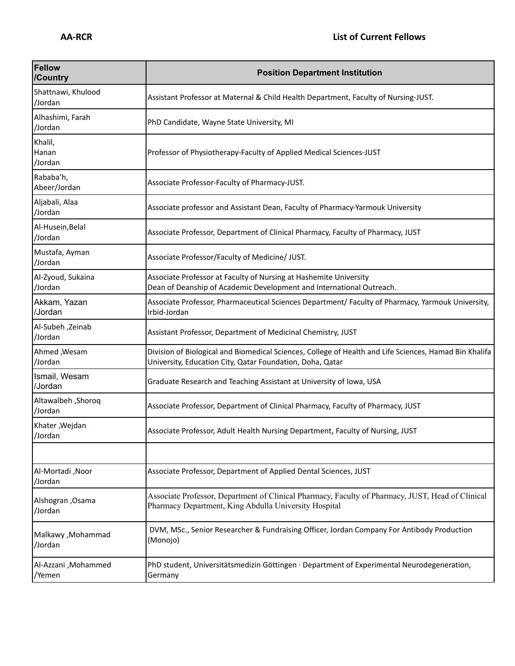| Fellow<br>/Country             | <b>Position Department Institution</b>                                                                                                                              |
|--------------------------------|---------------------------------------------------------------------------------------------------------------------------------------------------------------------|
| Shattnawi, Khulood<br>/Jordan  | Assistant Professor at Maternal & Child Health Department, Faculty of Nursing-JUST.                                                                                 |
| Alhashimi, Farah<br>/Jordan    | PhD Candidate, Wayne State University, MI                                                                                                                           |
| Khalil,<br>Hanan<br>/Jordan    | Professor of Physiotherapy-Faculty of Applied Medical Sciences-JUST                                                                                                 |
| Rababa'h,<br>Abeer/Jordan      | Associate Professor-Faculty of Pharmacy-JUST.                                                                                                                       |
| Aljabali, Alaa<br>/Jordan      | Associate professor and Assistant Dean, Faculty of Pharmacy-Yarmouk University                                                                                      |
| Al-Husein, Belal<br>/Jordan    | Associate Professor, Department of Clinical Pharmacy, Faculty of Pharmacy, JUST                                                                                     |
| Mustafa, Ayman<br>/Jordan      | Associate Professor/Faculty of Medicine/ JUST.                                                                                                                      |
| Al-Zyoud, Sukaina<br>/Jordan   | Associate Professor at Faculty of Nursing at Hashemite University<br>Dean of Deanship of Academic Development and International Outreach.                           |
| Akkam, Yazan<br>/Jordan        | Associate Professor, Pharmaceutical Sciences Department/ Faculty of Pharmacy, Yarmouk University,<br>Irbid-Jordan                                                   |
| Al-Subeh ,Zeinab<br>/Jordan    | Assistant Professor, Department of Medicinal Chemistry, JUST                                                                                                        |
| Ahmed , Wesam<br>/Jordan       | Division of Biological and Biomedical Sciences, College of Health and Life Sciences, Hamad Bin Khalifa<br>University, Education City, Qatar Foundation, Doha, Qatar |
| Ismail, Wesam<br>/Jordan       | Graduate Research and Teaching Assistant at University of Iowa, USA                                                                                                 |
| Altawalbeh , Shoroq<br>/Jordan | Associate Professor, Department of Clinical Pharmacy, Faculty of Pharmacy, JUST                                                                                     |
| Khater , Wejdan<br>/Jordan     | Associate Professor, Adult Health Nursing Department, Faculty of Nursing, JUST                                                                                      |
|                                |                                                                                                                                                                     |
| Al-Mortadi, Noor<br>/Jordan    | Associate Professor, Department of Applied Dental Sciences, JUST                                                                                                    |
| Alshogran, Osama<br>/Jordan    | Associate Professor, Department of Clinical Pharmacy, Faculty of Pharmacy, JUST, Head of Clinical<br>Pharmacy Department, King Abdulla University Hospital          |
| Malkawy , Mohammad<br>/Jordan  | DVM, MSc., Senior Researcher & Fundraising Officer, Jordan Company For Antibody Production<br>(Monojo)                                                              |
| Al-Azzani , Mohammed<br>/Yemen | PhD student, Universitätsmedizin Göttingen · Department of Experimental Neurodegeneration,<br>Germany                                                               |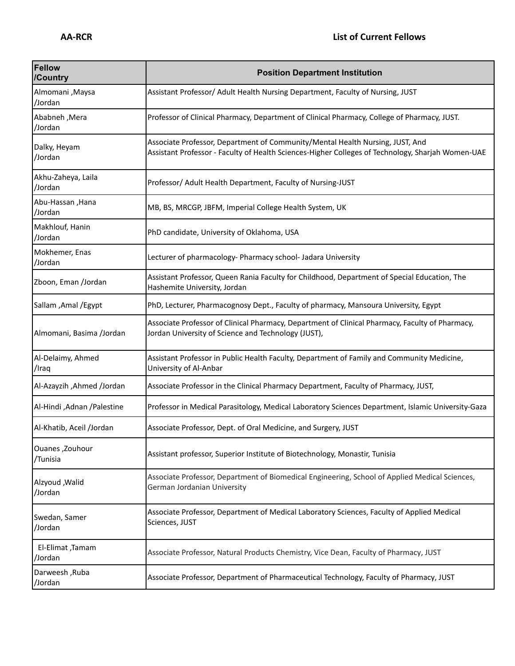| <b>Fellow</b><br>/Country     | <b>Position Department Institution</b>                                                                                                                                             |
|-------------------------------|------------------------------------------------------------------------------------------------------------------------------------------------------------------------------------|
| Almomani, Maysa<br>/Jordan    | Assistant Professor/ Adult Health Nursing Department, Faculty of Nursing, JUST                                                                                                     |
| Ababneh, Mera<br>/Jordan      | Professor of Clinical Pharmacy, Department of Clinical Pharmacy, College of Pharmacy, JUST.                                                                                        |
| Dalky, Heyam<br>/Jordan       | Associate Professor, Department of Community/Mental Health Nursing, JUST, And<br>Assistant Professor - Faculty of Health Sciences-Higher Colleges of Technology, Sharjah Women-UAE |
| Akhu-Zaheya, Laila<br>/Jordan | Professor/ Adult Health Department, Faculty of Nursing-JUST                                                                                                                        |
| Abu-Hassan, Hana<br>/Jordan   | MB, BS, MRCGP, JBFM, Imperial College Health System, UK                                                                                                                            |
| Makhlouf, Hanin<br>/Jordan    | PhD candidate, University of Oklahoma, USA                                                                                                                                         |
| Mokhemer, Enas<br>/Jordan     | Lecturer of pharmacology- Pharmacy school- Jadara University                                                                                                                       |
| Zboon, Eman /Jordan           | Assistant Professor, Queen Rania Faculty for Childhood, Department of Special Education, The<br>Hashemite University, Jordan                                                       |
| Sallam , Amal / Egypt         | PhD, Lecturer, Pharmacognosy Dept., Faculty of pharmacy, Mansoura University, Egypt                                                                                                |
| Almomani, Basima /Jordan      | Associate Professor of Clinical Pharmacy, Department of Clinical Pharmacy, Faculty of Pharmacy,<br>Jordan University of Science and Technology (JUST),                             |
| Al-Delaimy, Ahmed<br>/Iraq    | Assistant Professor in Public Health Faculty, Department of Family and Community Medicine,<br>University of Al-Anbar                                                               |
| Al-Azayzih , Ahmed /Jordan    | Associate Professor in the Clinical Pharmacy Department, Faculty of Pharmacy, JUST,                                                                                                |
| Al-Hindi , Adnan / Palestine  | Professor in Medical Parasitology, Medical Laboratory Sciences Department, Islamic University-Gaza                                                                                 |
| Al-Khatib, Aceil /Jordan      | Associate Professor, Dept. of Oral Medicine, and Surgery, JUST                                                                                                                     |
| Ouanes, Zouhour<br>/Tunisia   | Assistant professor, Superior Institute of Biotechnology, Monastir, Tunisia                                                                                                        |
| Alzyoud , Walid<br>/Jordan    | Associate Professor, Department of Biomedical Engineering, School of Applied Medical Sciences,<br>German Jordanian University                                                      |
| Swedan, Samer<br>/Jordan      | Associate Professor, Department of Medical Laboratory Sciences, Faculty of Applied Medical<br>Sciences, JUST                                                                       |
| El-Elimat, Tamam<br>/Jordan   | Associate Professor, Natural Products Chemistry, Vice Dean, Faculty of Pharmacy, JUST                                                                                              |
| Darweesh, Ruba<br>/Jordan     | Associate Professor, Department of Pharmaceutical Technology, Faculty of Pharmacy, JUST                                                                                            |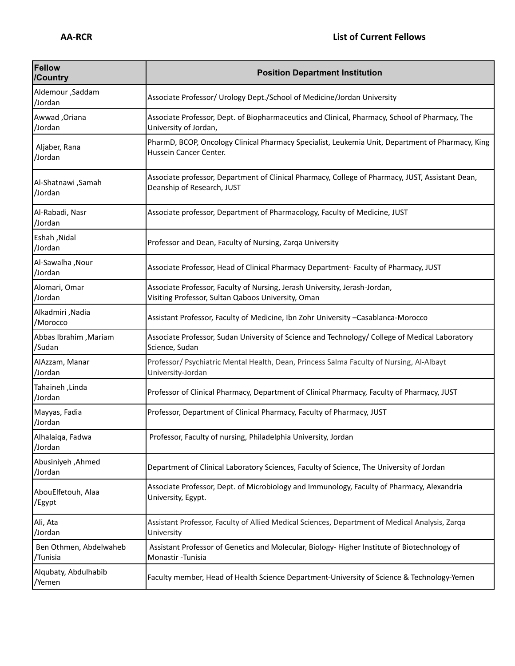| Fellow<br>/Country                 | <b>Position Department Institution</b>                                                                                           |
|------------------------------------|----------------------------------------------------------------------------------------------------------------------------------|
| Aldemour, Saddam<br>/Jordan        | Associate Professor/ Urology Dept./School of Medicine/Jordan University                                                          |
| Awwad , Oriana<br>/Jordan          | Associate Professor, Dept. of Biopharmaceutics and Clinical, Pharmacy, School of Pharmacy, The<br>University of Jordan,          |
| Aljaber, Rana<br>/Jordan           | PharmD, BCOP, Oncology Clinical Pharmacy Specialist, Leukemia Unit, Department of Pharmacy, King<br>Hussein Cancer Center.       |
| Al-Shatnawi, Samah<br>/Jordan      | Associate professor, Department of Clinical Pharmacy, College of Pharmacy, JUST, Assistant Dean,<br>Deanship of Research, JUST   |
| Al-Rabadi, Nasr<br>/Jordan         | Associate professor, Department of Pharmacology, Faculty of Medicine, JUST                                                       |
| Eshah, Nidal<br>/Jordan            | Professor and Dean, Faculty of Nursing, Zarqa University                                                                         |
| Al-Sawalha , Nour<br>/Jordan       | Associate Professor, Head of Clinical Pharmacy Department- Faculty of Pharmacy, JUST                                             |
| Alomari, Omar<br>/Jordan           | Associate Professor, Faculty of Nursing, Jerash University, Jerash-Jordan,<br>Visiting Professor, Sultan Qaboos University, Oman |
| Alkadmiri , Nadia<br>/Morocco      | Assistant Professor, Faculty of Medicine, Ibn Zohr University -Casablanca-Morocco                                                |
| Abbas Ibrahim, Mariam<br>/Sudan    | Associate Professor, Sudan University of Science and Technology/ College of Medical Laboratory<br>Science, Sudan                 |
| AlAzzam, Manar<br>/Jordan          | Professor/ Psychiatric Mental Health, Dean, Princess Salma Faculty of Nursing, Al-Albayt<br>University-Jordan                    |
| Tahaineh, Linda<br>/Jordan         | Professor of Clinical Pharmacy, Department of Clinical Pharmacy, Faculty of Pharmacy, JUST                                       |
| Mayyas, Fadia<br>/Jordan           | Professor, Department of Clinical Pharmacy, Faculty of Pharmacy, JUST                                                            |
| Alhalaiqa, Fadwa<br>/Jordan        | Professor, Faculty of nursing, Philadelphia University, Jordan                                                                   |
| Abusiniyeh , Ahmed<br>/Jordan      | Department of Clinical Laboratory Sciences, Faculty of Science, The University of Jordan                                         |
| AbouElfetouh, Alaa<br>/Egypt       | Associate Professor, Dept. of Microbiology and Immunology, Faculty of Pharmacy, Alexandria<br>University, Egypt.                 |
| Ali, Ata<br>/Jordan                | Assistant Professor, Faculty of Allied Medical Sciences, Department of Medical Analysis, Zarqa<br>University                     |
| Ben Othmen, Abdelwaheb<br>/Tunisia | Assistant Professor of Genetics and Molecular, Biology-Higher Institute of Biotechnology of<br>Monastir - Tunisia                |
| Alqubaty, Abdulhabib<br>/Yemen     | Faculty member, Head of Health Science Department-University of Science & Technology-Yemen                                       |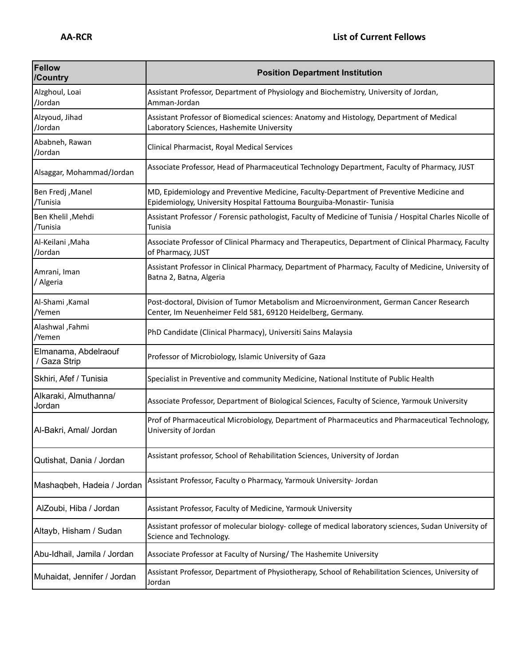| Fellow<br>/Country                   | <b>Position Department Institution</b>                                                                                                                           |
|--------------------------------------|------------------------------------------------------------------------------------------------------------------------------------------------------------------|
| Alzghoul, Loai<br>/Jordan            | Assistant Professor, Department of Physiology and Biochemistry, University of Jordan,<br>Amman-Jordan                                                            |
| Alzyoud, Jihad<br>/Jordan            | Assistant Professor of Biomedical sciences: Anatomy and Histology, Department of Medical<br>Laboratory Sciences, Hashemite University                            |
| Ababneh, Rawan<br>/Jordan            | Clinical Pharmacist, Royal Medical Services                                                                                                                      |
| Alsaggar, Mohammad/Jordan            | Associate Professor, Head of Pharmaceutical Technology Department, Faculty of Pharmacy, JUST                                                                     |
| <b>Ben Fredj</b> , Manel<br>/Tunisia | MD, Epidemiology and Preventive Medicine, Faculty-Department of Preventive Medicine and<br>Epidemiology, University Hospital Fattouma Bourguiba-Monastir-Tunisia |
| Ben Khelil , Mehdi<br>/Tunisia       | Assistant Professor / Forensic pathologist, Faculty of Medicine of Tunisia / Hospital Charles Nicolle of<br>Tunisia                                              |
| Al-Keilani , Maha<br>/Jordan         | Associate Professor of Clinical Pharmacy and Therapeutics, Department of Clinical Pharmacy, Faculty<br>of Pharmacy, JUST                                         |
| Amrani, Iman<br>/ Algeria            | Assistant Professor in Clinical Pharmacy, Department of Pharmacy, Faculty of Medicine, University of<br>Batna 2, Batna, Algeria                                  |
| Al-Shami, Kamal<br>/Yemen            | Post-doctoral, Division of Tumor Metabolism and Microenvironment, German Cancer Research<br>Center, Im Neuenheimer Feld 581, 69120 Heidelberg, Germany.          |
| Alashwal, Fahmi<br>/Yemen            | PhD Candidate (Clinical Pharmacy), Universiti Sains Malaysia                                                                                                     |
| Elmanama, Abdelraouf<br>/ Gaza Strip | Professor of Microbiology, Islamic University of Gaza                                                                                                            |
| Skhiri, Afef / Tunisia               | Specialist in Preventive and community Medicine, National Institute of Public Health                                                                             |
| Alkaraki, Almuthanna/<br>Jordan      | Associate Professor, Department of Biological Sciences, Faculty of Science, Yarmouk University                                                                   |
| Al-Bakri, Amal/ Jordan               | Prof of Pharmaceutical Microbiology, Department of Pharmaceutics and Pharmaceutical Technology,<br>University of Jordan                                          |
| Qutishat, Dania / Jordan             | Assistant professor, School of Rehabilitation Sciences, University of Jordan                                                                                     |
| Mashaqbeh, Hadeia / Jordan           | Assistant Professor, Faculty o Pharmacy, Yarmouk University- Jordan                                                                                              |
| AlZoubi, Hiba / Jordan               | Assistant Professor, Faculty of Medicine, Yarmouk University                                                                                                     |
| Altayb, Hisham / Sudan               | Assistant professor of molecular biology- college of medical laboratory sciences, Sudan University of<br>Science and Technology.                                 |
| Abu-Idhail, Jamila / Jordan          | Associate Professor at Faculty of Nursing/ The Hashemite University                                                                                              |
| Muhaidat, Jennifer / Jordan          | Assistant Professor, Department of Physiotherapy, School of Rehabilitation Sciences, University of<br>Jordan                                                     |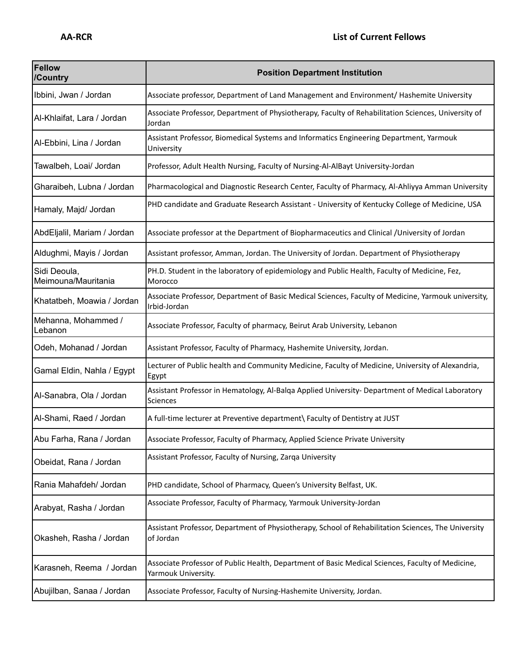| Fellow<br>/Country                  | <b>Position Department Institution</b>                                                                                  |
|-------------------------------------|-------------------------------------------------------------------------------------------------------------------------|
| Ibbini, Jwan / Jordan               | Associate professor, Department of Land Management and Environment/ Hashemite University                                |
| Al-Khlaifat, Lara / Jordan          | Associate Professor, Department of Physiotherapy, Faculty of Rehabilitation Sciences, University of<br>Jordan           |
| Al-Ebbini, Lina / Jordan            | Assistant Professor, Biomedical Systems and Informatics Engineering Department, Yarmouk<br>University                   |
| Tawalbeh, Loai/ Jordan              | Professor, Adult Health Nursing, Faculty of Nursing-Al-AlBayt University-Jordan                                         |
| Gharaibeh, Lubna / Jordan           | Pharmacological and Diagnostic Research Center, Faculty of Pharmacy, Al-Ahliyya Amman University                        |
| Hamaly, Majd/ Jordan                | PHD candidate and Graduate Research Assistant - University of Kentucky College of Medicine, USA                         |
| AbdEljalil, Mariam / Jordan         | Associate professor at the Department of Biopharmaceutics and Clinical /University of Jordan                            |
| Aldughmi, Mayis / Jordan            | Assistant professor, Amman, Jordan. The University of Jordan. Department of Physiotherapy                               |
| Sidi Deoula,<br>Meimouna/Mauritania | PH.D. Student in the laboratory of epidemiology and Public Health, Faculty of Medicine, Fez,<br>Morocco                 |
| Khatatbeh, Moawia / Jordan          | Associate Professor, Department of Basic Medical Sciences, Faculty of Medicine, Yarmouk university,<br>Irbid-Jordan     |
| Mehanna, Mohammed /<br>Lebanon      | Associate Professor, Faculty of pharmacy, Beirut Arab University, Lebanon                                               |
| Odeh, Mohanad / Jordan              | Assistant Professor, Faculty of Pharmacy, Hashemite University, Jordan.                                                 |
| Gamal Eldin, Nahla / Egypt          | Lecturer of Public health and Community Medicine, Faculty of Medicine, University of Alexandria,<br>Egypt               |
| Al-Sanabra, Ola / Jordan            | Assistant Professor in Hematology, Al-Balqa Applied University- Department of Medical Laboratory<br>Sciences            |
| Al-Shami, Raed / Jordan             | A full-time lecturer at Preventive department\ Faculty of Dentistry at JUST                                             |
| Abu Farha, Rana / Jordan            | Associate Professor, Faculty of Pharmacy, Applied Science Private University                                            |
| Obeidat, Rana / Jordan              | Assistant Professor, Faculty of Nursing, Zarqa University                                                               |
| Rania Mahafdeh/ Jordan              | PHD candidate, School of Pharmacy, Queen's University Belfast, UK.                                                      |
| Arabyat, Rasha / Jordan             | Associate Professor, Faculty of Pharmacy, Yarmouk University-Jordan                                                     |
| Okasheh, Rasha / Jordan             | Assistant Professor, Department of Physiotherapy, School of Rehabilitation Sciences, The University<br>of Jordan        |
| Karasneh, Reema / Jordan            | Associate Professor of Public Health, Department of Basic Medical Sciences, Faculty of Medicine,<br>Yarmouk University. |
| Abujilban, Sanaa / Jordan           | Associate Professor, Faculty of Nursing-Hashemite University, Jordan.                                                   |